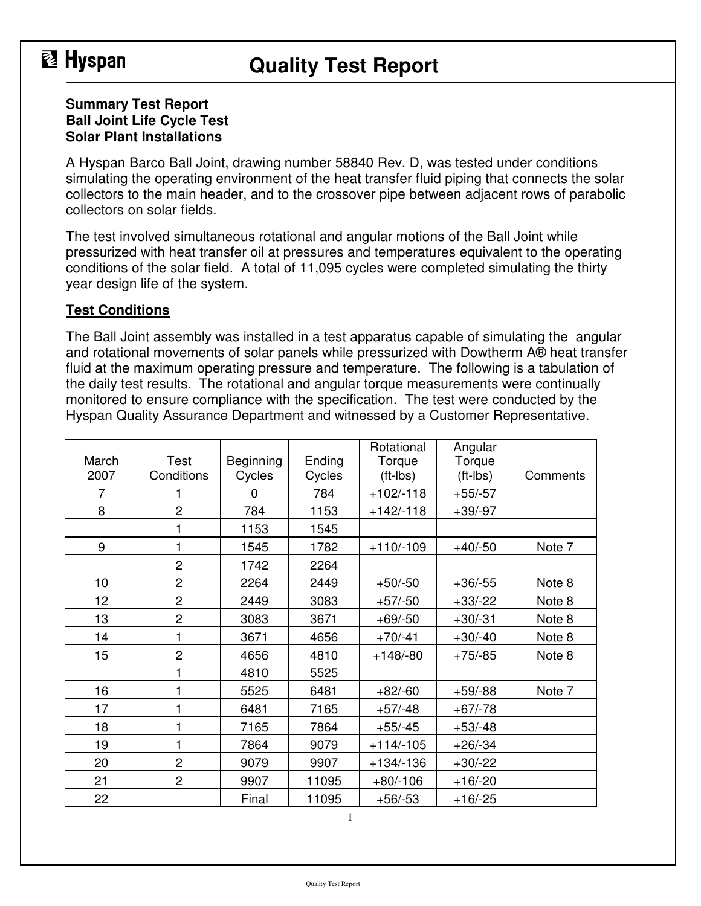## **图 Hyspan**

### **Quality Test Report**

#### **Summary Test Report Ball Joint Life Cycle Test Solar Plant Installations**

A Hyspan Barco Ball Joint, drawing number 58840 Rev. D, was tested under conditions simulating the operating environment of the heat transfer fluid piping that connects the solar collectors to the main header, and to the crossover pipe between adjacent rows of parabolic collectors on solar fields.

The test involved simultaneous rotational and angular motions of the Ball Joint while pressurized with heat transfer oil at pressures and temperatures equivalent to the operating conditions of the solar field. A total of 11,095 cycles were completed simulating the thirty year design life of the system.

#### **Test Conditions**

The Ball Joint assembly was installed in a test apparatus capable of simulating the angular and rotational movements of solar panels while pressurized with Dowtherm A® heat transfer fluid at the maximum operating pressure and temperature. The following is a tabulation of the daily test results. The rotational and angular torque measurements were continually monitored to ensure compliance with the specification. The test were conducted by the Hyspan Quality Assurance Department and witnessed by a Customer Representative.

| March<br>2007  | Test<br>Conditions | Beginning<br>Cycles | Ending<br>Cycles | Rotational<br>Torque<br>(ft-lbs) | Angular<br>Torque<br>$(tt-lbs)$ | Comments |
|----------------|--------------------|---------------------|------------------|----------------------------------|---------------------------------|----------|
| $\overline{7}$ | 1                  | $\Omega$            | 784              | $+102/118$                       | $+55/-57$                       |          |
| 8              | $\overline{2}$     | 784                 | 1153             | $+142/ -118$                     | $+39/97$                        |          |
|                | 1                  | 1153                | 1545             |                                  |                                 |          |
| 9              | 1                  | 1545                | 1782             | $+110/-109$                      | $+40/-50$                       | Note 7   |
|                | $\overline{c}$     | 1742                | 2264             |                                  |                                 |          |
| 10             | $\overline{2}$     | 2264                | 2449             | $+50/-50$                        | $+36/55$                        | Note 8   |
| 12             | $\overline{2}$     | 2449                | 3083             | $+57/-50$                        | $+33/-22$                       | Note 8   |
| 13             | $\overline{c}$     | 3083                | 3671             | $+69/-50$                        | $+30/-31$                       | Note 8   |
| 14             | 1                  | 3671                | 4656             | $+70/ -41$                       | $+30/40$                        | Note 8   |
| 15             | $\overline{c}$     | 4656                | 4810             | $+148/-80$                       | $+75/85$                        | Note 8   |
|                | 1                  | 4810                | 5525             |                                  |                                 |          |
| 16             | 1                  | 5525                | 6481             | $+82/-60$                        | $+59/88$                        | Note 7   |
| 17             | 1                  | 6481                | 7165             | $+57/ -48$                       | $+67/-78$                       |          |
| 18             | 1                  | 7165                | 7864             | $+55/-45$                        | $+53/ -48$                      |          |
| 19             | 1                  | 7864                | 9079             | $+114/-105$                      | $+26/34$                        |          |
| 20             | $\overline{c}$     | 9079                | 9907             | $+134/136$                       | $+30/-22$                       |          |
| 21             | $\overline{2}$     | 9907                | 11095            | $+80/-106$                       | $+16/-20$                       |          |
| 22             |                    | Final               | 11095            | $+56/-53$                        | $+16/-25$                       |          |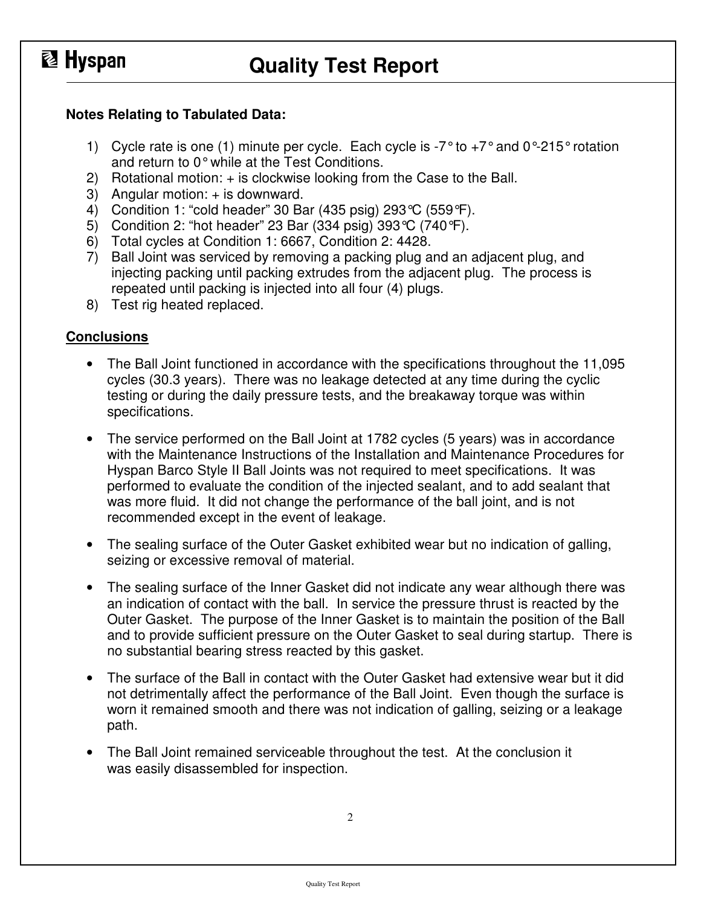# **图 Hyspan**

## **Quality Test Report**

#### **Notes Relating to Tabulated Data:**

- 1) Cycle rate is one (1) minute per cycle. Each cycle is  $-7^\circ$  to  $+7^\circ$  and  $0^\circ$ -215° rotation and return to 0° while at the Test Conditions.
- 2) Rotational motion: + is clockwise looking from the Case to the Ball.
- 3) Angular motion: + is downward.
- 4) Condition 1: "cold header" 30 Bar (435 psig) 293°C (559°F).
- 5) Condition 2: "hot header" 23 Bar (334 psig) 393°C (740°F).
- 6) Total cycles at Condition 1: 6667, Condition 2: 4428.
- 7) Ball Joint was serviced by removing a packing plug and an adjacent plug, and injecting packing until packing extrudes from the adjacent plug. The process is repeated until packing is injected into all four (4) plugs.
- 8) Test rig heated replaced.

#### **Conclusions**

- The Ball Joint functioned in accordance with the specifications throughout the 11,095 cycles (30.3 years). There was no leakage detected at any time during the cyclic testing or during the daily pressure tests, and the breakaway torque was within specifications.
- The service performed on the Ball Joint at 1782 cycles (5 years) was in accordance with the Maintenance Instructions of the Installation and Maintenance Procedures for Hyspan Barco Style II Ball Joints was not required to meet specifications. It was performed to evaluate the condition of the injected sealant, and to add sealant that was more fluid. It did not change the performance of the ball joint, and is not recommended except in the event of leakage.
- The sealing surface of the Outer Gasket exhibited wear but no indication of galling, seizing or excessive removal of material.
- The sealing surface of the Inner Gasket did not indicate any wear although there was an indication of contact with the ball. In service the pressure thrust is reacted by the Outer Gasket. The purpose of the Inner Gasket is to maintain the position of the Ball and to provide sufficient pressure on the Outer Gasket to seal during startup. There is no substantial bearing stress reacted by this gasket.
- The surface of the Ball in contact with the Outer Gasket had extensive wear but it did not detrimentally affect the performance of the Ball Joint. Even though the surface is worn it remained smooth and there was not indication of galling, seizing or a leakage path.
- The Ball Joint remained serviceable throughout the test. At the conclusion it was easily disassembled for inspection.

2